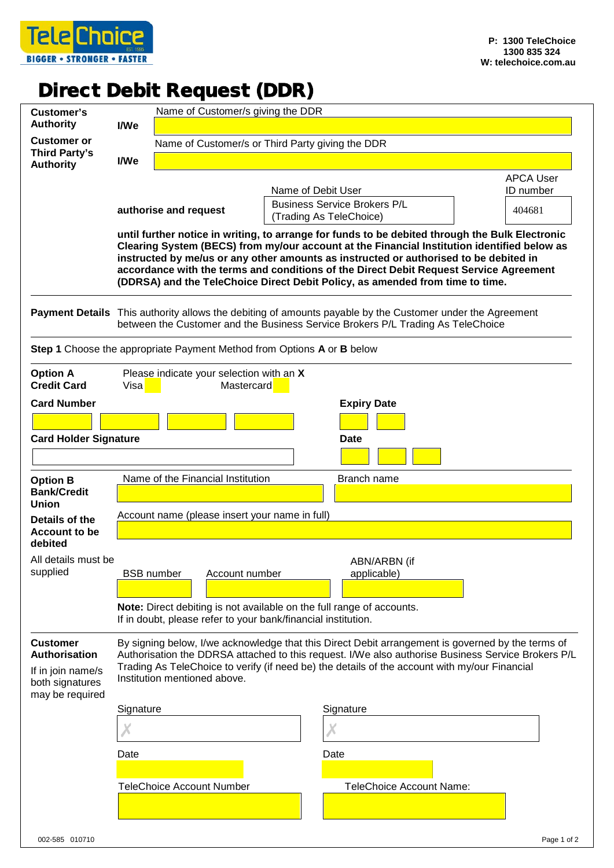

## Direct Debit Request (DDR)

|                                                                                                    |                                                                                                                                                                                                                                                                                                                                                                                                                                                                    |                                                  |                                                                                                                                                                                                                                                                                                          | Name of Customer/s giving the DDR                                                                                                                                                            |                  |  |  |
|----------------------------------------------------------------------------------------------------|--------------------------------------------------------------------------------------------------------------------------------------------------------------------------------------------------------------------------------------------------------------------------------------------------------------------------------------------------------------------------------------------------------------------------------------------------------------------|--------------------------------------------------|----------------------------------------------------------------------------------------------------------------------------------------------------------------------------------------------------------------------------------------------------------------------------------------------------------|----------------------------------------------------------------------------------------------------------------------------------------------------------------------------------------------|------------------|--|--|
| <b>Customer's</b><br><b>Authority</b>                                                              | I/We                                                                                                                                                                                                                                                                                                                                                                                                                                                               |                                                  |                                                                                                                                                                                                                                                                                                          |                                                                                                                                                                                              |                  |  |  |
| <b>Customer or</b>                                                                                 |                                                                                                                                                                                                                                                                                                                                                                                                                                                                    | Name of Customer/s or Third Party giving the DDR |                                                                                                                                                                                                                                                                                                          |                                                                                                                                                                                              |                  |  |  |
| <b>Third Party's</b><br><b>Authority</b>                                                           | I/We                                                                                                                                                                                                                                                                                                                                                                                                                                                               |                                                  |                                                                                                                                                                                                                                                                                                          |                                                                                                                                                                                              |                  |  |  |
|                                                                                                    |                                                                                                                                                                                                                                                                                                                                                                                                                                                                    |                                                  |                                                                                                                                                                                                                                                                                                          |                                                                                                                                                                                              | <b>APCA User</b> |  |  |
|                                                                                                    |                                                                                                                                                                                                                                                                                                                                                                                                                                                                    |                                                  |                                                                                                                                                                                                                                                                                                          | Name of Debit User                                                                                                                                                                           | ID number        |  |  |
|                                                                                                    | authorise and request                                                                                                                                                                                                                                                                                                                                                                                                                                              |                                                  |                                                                                                                                                                                                                                                                                                          | <b>Business Service Brokers P/L</b><br>(Trading As TeleChoice)                                                                                                                               | 404681           |  |  |
|                                                                                                    | until further notice in writing, to arrange for funds to be debited through the Bulk Electronic<br>Clearing System (BECS) from my/our account at the Financial Institution identified below as<br>instructed by me/us or any other amounts as instructed or authorised to be debited in<br>accordance with the terms and conditions of the Direct Debit Request Service Agreement<br>(DDRSA) and the TeleChoice Direct Debit Policy, as amended from time to time. |                                                  |                                                                                                                                                                                                                                                                                                          |                                                                                                                                                                                              |                  |  |  |
|                                                                                                    |                                                                                                                                                                                                                                                                                                                                                                                                                                                                    |                                                  |                                                                                                                                                                                                                                                                                                          | Payment Details This authority allows the debiting of amounts payable by the Customer under the Agreement<br>between the Customer and the Business Service Brokers P/L Trading As TeleChoice |                  |  |  |
| Step 1 Choose the appropriate Payment Method from Options A or B below                             |                                                                                                                                                                                                                                                                                                                                                                                                                                                                    |                                                  |                                                                                                                                                                                                                                                                                                          |                                                                                                                                                                                              |                  |  |  |
| <b>Option A</b><br><b>Credit Card</b>                                                              | Please indicate your selection with an X<br>Mastercard<br>Visa                                                                                                                                                                                                                                                                                                                                                                                                     |                                                  |                                                                                                                                                                                                                                                                                                          |                                                                                                                                                                                              |                  |  |  |
| <b>Card Number</b>                                                                                 |                                                                                                                                                                                                                                                                                                                                                                                                                                                                    |                                                  |                                                                                                                                                                                                                                                                                                          | <b>Expiry Date</b>                                                                                                                                                                           |                  |  |  |
|                                                                                                    |                                                                                                                                                                                                                                                                                                                                                                                                                                                                    |                                                  |                                                                                                                                                                                                                                                                                                          |                                                                                                                                                                                              |                  |  |  |
| <b>Card Holder Signature</b>                                                                       |                                                                                                                                                                                                                                                                                                                                                                                                                                                                    |                                                  |                                                                                                                                                                                                                                                                                                          | Date                                                                                                                                                                                         |                  |  |  |
|                                                                                                    |                                                                                                                                                                                                                                                                                                                                                                                                                                                                    |                                                  |                                                                                                                                                                                                                                                                                                          |                                                                                                                                                                                              |                  |  |  |
| <b>Option B</b><br><b>Bank/Credit</b><br><b>Union</b>                                              | Name of the Financial Institution<br>Branch name                                                                                                                                                                                                                                                                                                                                                                                                                   |                                                  |                                                                                                                                                                                                                                                                                                          |                                                                                                                                                                                              |                  |  |  |
| Details of the<br><b>Account to be</b><br>debited                                                  | Account name (please insert your name in full)                                                                                                                                                                                                                                                                                                                                                                                                                     |                                                  |                                                                                                                                                                                                                                                                                                          |                                                                                                                                                                                              |                  |  |  |
| All details must be                                                                                |                                                                                                                                                                                                                                                                                                                                                                                                                                                                    |                                                  |                                                                                                                                                                                                                                                                                                          | ABN/ARBN (if                                                                                                                                                                                 |                  |  |  |
| supplied                                                                                           | <b>BSB</b> number                                                                                                                                                                                                                                                                                                                                                                                                                                                  |                                                  | Account number                                                                                                                                                                                                                                                                                           | applicable)                                                                                                                                                                                  |                  |  |  |
|                                                                                                    |                                                                                                                                                                                                                                                                                                                                                                                                                                                                    |                                                  |                                                                                                                                                                                                                                                                                                          |                                                                                                                                                                                              |                  |  |  |
|                                                                                                    | Note: Direct debiting is not available on the full range of accounts.<br>If in doubt, please refer to your bank/financial institution.                                                                                                                                                                                                                                                                                                                             |                                                  |                                                                                                                                                                                                                                                                                                          |                                                                                                                                                                                              |                  |  |  |
| <b>Customer</b><br><b>Authorisation</b><br>If in join name/s<br>both signatures<br>may be required |                                                                                                                                                                                                                                                                                                                                                                                                                                                                    | Institution mentioned above.                     | By signing below, I/we acknowledge that this Direct Debit arrangement is governed by the terms of<br>Authorisation the DDRSA attached to this request. I/We also authorise Business Service Brokers P/L<br>Trading As TeleChoice to verify (if need be) the details of the account with my/our Financial |                                                                                                                                                                                              |                  |  |  |
|                                                                                                    | Signature                                                                                                                                                                                                                                                                                                                                                                                                                                                          |                                                  |                                                                                                                                                                                                                                                                                                          | Signature                                                                                                                                                                                    |                  |  |  |
|                                                                                                    |                                                                                                                                                                                                                                                                                                                                                                                                                                                                    |                                                  |                                                                                                                                                                                                                                                                                                          |                                                                                                                                                                                              |                  |  |  |
|                                                                                                    | Date<br>Date                                                                                                                                                                                                                                                                                                                                                                                                                                                       |                                                  |                                                                                                                                                                                                                                                                                                          |                                                                                                                                                                                              |                  |  |  |
|                                                                                                    |                                                                                                                                                                                                                                                                                                                                                                                                                                                                    | <b>TeleChoice Account Number</b>                 |                                                                                                                                                                                                                                                                                                          | <b>TeleChoice Account Name:</b>                                                                                                                                                              |                  |  |  |
|                                                                                                    |                                                                                                                                                                                                                                                                                                                                                                                                                                                                    |                                                  |                                                                                                                                                                                                                                                                                                          |                                                                                                                                                                                              |                  |  |  |